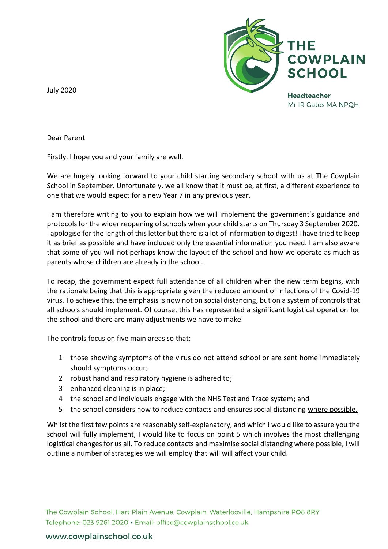

**Headteacher** Mr IR Gates MA NPOH

July 2020

Dear Parent

Firstly, I hope you and your family are well.

We are hugely looking forward to your child starting secondary school with us at The Cowplain School in September. Unfortunately, we all know that it must be, at first, a different experience to one that we would expect for a new Year 7 in any previous year.

I am therefore writing to you to explain how we will implement the government's guidance and protocols for the wider reopening of schools when your child starts on Thursday 3 September 2020. I apologise for the length of this letter but there is a lot of information to digest! I have tried to keep it as brief as possible and have included only the essential information you need. I am also aware that some of you will not perhaps know the layout of the school and how we operate as much as parents whose children are already in the school.

To recap, the government expect full attendance of all children when the new term begins, with the rationale being that this is appropriate given the reduced amount of infections of the Covid-19 virus. To achieve this, the emphasis is now not on social distancing, but on a system of controls that all schools should implement. Of course, this has represented a significant logistical operation for the school and there are many adjustments we have to make.

The controls focus on five main areas so that:

- 1 those showing symptoms of the virus do not attend school or are sent home immediately should symptoms occur;
- 2 robust hand and respiratory hygiene is adhered to;
- 3 enhanced cleaning is in place;
- 4 the school and individuals engage with the NHS Test and Trace system; and
- 5 the school considers how to reduce contacts and ensures social distancing where possible.

Whilst the first few points are reasonably self-explanatory, and which I would like to assure you the school will fully implement, I would like to focus on point 5 which involves the most challenging logistical changes for us all. To reduce contacts and maximise social distancing where possible, I will outline a number of strategies we will employ that will will affect your child.

The Cowplain School, Hart Plain Avenue, Cowplain, Waterlooville, Hampshire PO8 8RY Telephone: 023 9261 2020 · Email: office@cowplainschool.co.uk

### www.cowplainschool.co.uk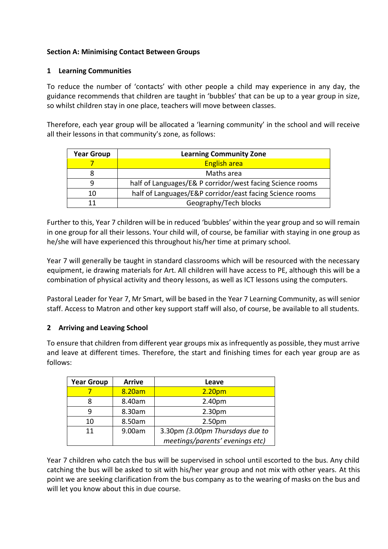## **Section A: Minimising Contact Between Groups**

### **1 Learning Communities**

To reduce the number of 'contacts' with other people a child may experience in any day, the guidance recommends that children are taught in 'bubbles' that can be up to a year group in size, so whilst children stay in one place, teachers will move between classes.

Therefore, each year group will be allocated a 'learning community' in the school and will receive all their lessons in that community's zone, as follows:

| <b>Year Group</b> | <b>Learning Community Zone</b>                            |  |
|-------------------|-----------------------------------------------------------|--|
|                   | <b>English area</b>                                       |  |
|                   | Maths area                                                |  |
| q                 | half of Languages/E& P corridor/west facing Science rooms |  |
| 10                | half of Languages/E&P corridor/east facing Science rooms  |  |
|                   | Geography/Tech blocks                                     |  |

Further to this, Year 7 children will be in reduced 'bubbles' within the year group and so will remain in one group for all their lessons. Your child will, of course, be familiar with staying in one group as he/she will have experienced this throughout his/her time at primary school.

Year 7 will generally be taught in standard classrooms which will be resourced with the necessary equipment, ie drawing materials for Art. All children will have access to PE, although this will be a combination of physical activity and theory lessons, as well as ICT lessons using the computers.

Pastoral Leader for Year 7, Mr Smart, will be based in the Year 7 Learning Community, as will senior staff. Access to Matron and other key support staff will also, of course, be available to all students.

### **2 Arriving and Leaving School**

To ensure that children from different year groups mix as infrequently as possible, they must arrive and leave at different times. Therefore, the start and finishing times for each year group are as follows:

| <b>Year Group</b> | <b>Arrive</b> | Leave                           |
|-------------------|---------------|---------------------------------|
|                   | 8.20am        | 2.20 <sub>pm</sub>              |
|                   | 8.40am        | 2.40pm                          |
| q                 | 8.30am        | 2.30 <sub>pm</sub>              |
| 10                | 8.50am        | 2.50 <sub>pm</sub>              |
| 11                | 9.00am        | 3.30pm (3.00pm Thursdays due to |
|                   |               | meetings/parents' evenings etc) |

Year 7 children who catch the bus will be supervised in school until escorted to the bus. Any child catching the bus will be asked to sit with his/her year group and not mix with other years. At this point we are seeking clarification from the bus company as to the wearing of masks on the bus and will let you know about this in due course.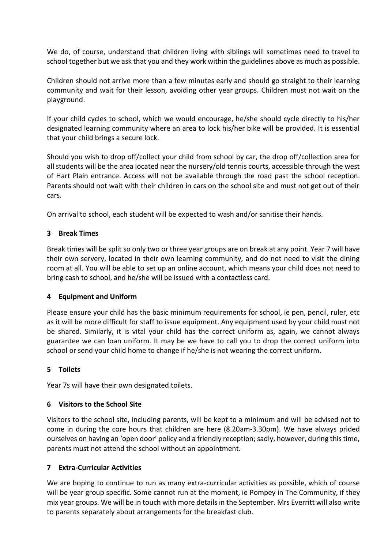We do, of course, understand that children living with siblings will sometimes need to travel to school together but we ask that you and they work within the guidelines above as much as possible.

Children should not arrive more than a few minutes early and should go straight to their learning community and wait for their lesson, avoiding other year groups. Children must not wait on the playground.

If your child cycles to school, which we would encourage, he/she should cycle directly to his/her designated learning community where an area to lock his/her bike will be provided. It is essential that your child brings a secure lock.

Should you wish to drop off/collect your child from school by car, the drop off/collection area for all students will be the area located near the nursery/old tennis courts, accessible through the west of Hart Plain entrance. Access will not be available through the road past the school reception. Parents should not wait with their children in cars on the school site and must not get out of their cars.

On arrival to school, each student will be expected to wash and/or sanitise their hands.

# **3 Break Times**

Break times will be split so only two or three year groups are on break at any point. Year 7 will have their own servery, located in their own learning community, and do not need to visit the dining room at all. You will be able to set up an online account, which means your child does not need to bring cash to school, and he/she will be issued with a contactless card.

### **4 Equipment and Uniform**

Please ensure your child has the basic minimum requirements for school, ie pen, pencil, ruler, etc as it will be more difficult for staff to issue equipment. Any equipment used by your child must not be shared. Similarly, it is vital your child has the correct uniform as, again, we cannot always guarantee we can loan uniform. It may be we have to call you to drop the correct uniform into school or send your child home to change if he/she is not wearing the correct uniform.

### **5 Toilets**

Year 7s will have their own designated toilets.

### **6 Visitors to the School Site**

Visitors to the school site, including parents, will be kept to a minimum and will be advised not to come in during the core hours that children are here (8.20am-3.30pm). We have always prided ourselves on having an 'open door' policy and a friendly reception; sadly, however, during this time, parents must not attend the school without an appointment.

### **7 Extra-Curricular Activities**

We are hoping to continue to run as many extra-curricular activities as possible, which of course will be year group specific. Some cannot run at the moment, ie Pompey in The Community, if they mix year groups. We will be in touch with more details in the September. Mrs Everritt will also write to parents separately about arrangements for the breakfast club.